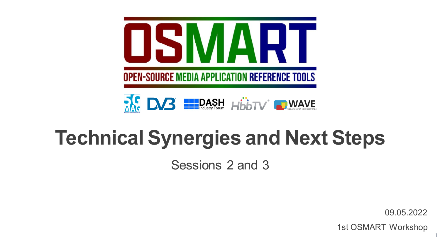



# **Technical Synergies and Next Steps**

Sessions 2 and 3

09.05.2022

1

1st OSMART Workshop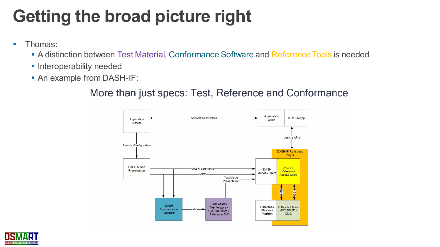# **Getting the broad picture right**

- Thomas:
	- A distinction between Test Material, Conformance Software and Reference Tools is needed
	- **· Interoperability needed**
	- **An example from DASH-IF:**

#### More than just specs: Test, Reference and Conformance



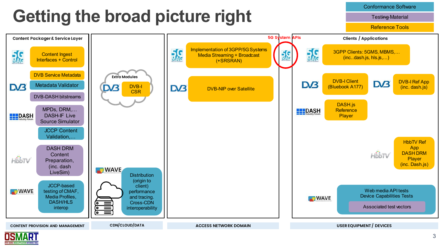### **Getting the broad picture right**

Conformance Software

**Testing Material** 

Reference Tools



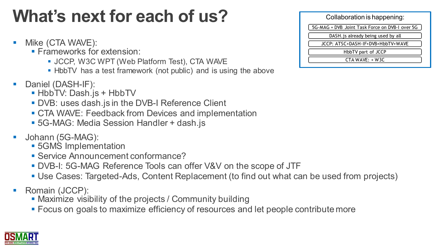## **What's next for each of us?**

- Mike (CTA WAVE):
	- **Exameworks for extension:** 
		- **. JCCP, W3C WPT (Web Platform Test), CTA WAVE**
		- **.** HbbTV has a test framework (not public) and is using the above
- Daniel (DASH-IF):
	- **. HbbTV: Dash.js + HbbTV**
	- DVB: uses dash.js in the DVB-I Reference Client
	- **CTA WAVE: Feedback from Devices and implementation**
	- 5G-MAG: Media Session Handler + dash.js
- Johann (5G-MAG):
	- 5GMS Implementation
	- Service Announcement conformance?
	- DVB-I: 5G-MAG Reference Tools can offer V&V on the scope of JTF
	- Use Cases: Targeted-Ads, Content Replacement (to find out what can be used from projects)
- Romain (JCCP):
	- **Maximize visibility of the projects / Community building**
	- **EXECUS ON goals to maximize efficiency of resources and let people contribute more**



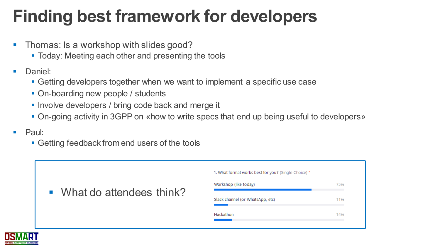## **Finding best framework for developers**

- **Thomas: Is a workshop with slides good?** 
	- Today: Meeting each other and presenting the tools
- Daniel:
	- Getting developers together when we want to implement a specific use case
	- On-boarding new people / students
	- **.** Involve developers / bring code back and merge it
	- On-going activity in 3GPP on «how to write specs that end up being useful to developers»
- Paul:
	- Getting feedback from end users of the tools

| • What do attendees think? | 1. What format works best for you? (Single Choice) * |     |
|----------------------------|------------------------------------------------------|-----|
|                            | Workshop (like today)                                | 75% |
|                            | Slack channel (or WhatsApp, etc)                     | 11% |
|                            | Hackathon                                            | 14% |
|                            |                                                      |     |

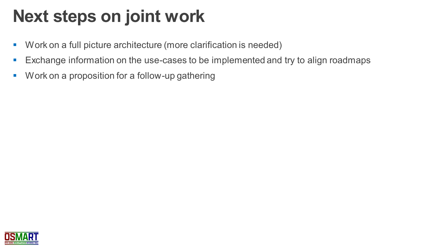#### **Next steps on joint work**

- Work on a full picture architecture (more clarification is needed)
- Exchange information on the use-cases to be implemented and try to align roadmaps
- Work on a proposition for a follow-up gathering